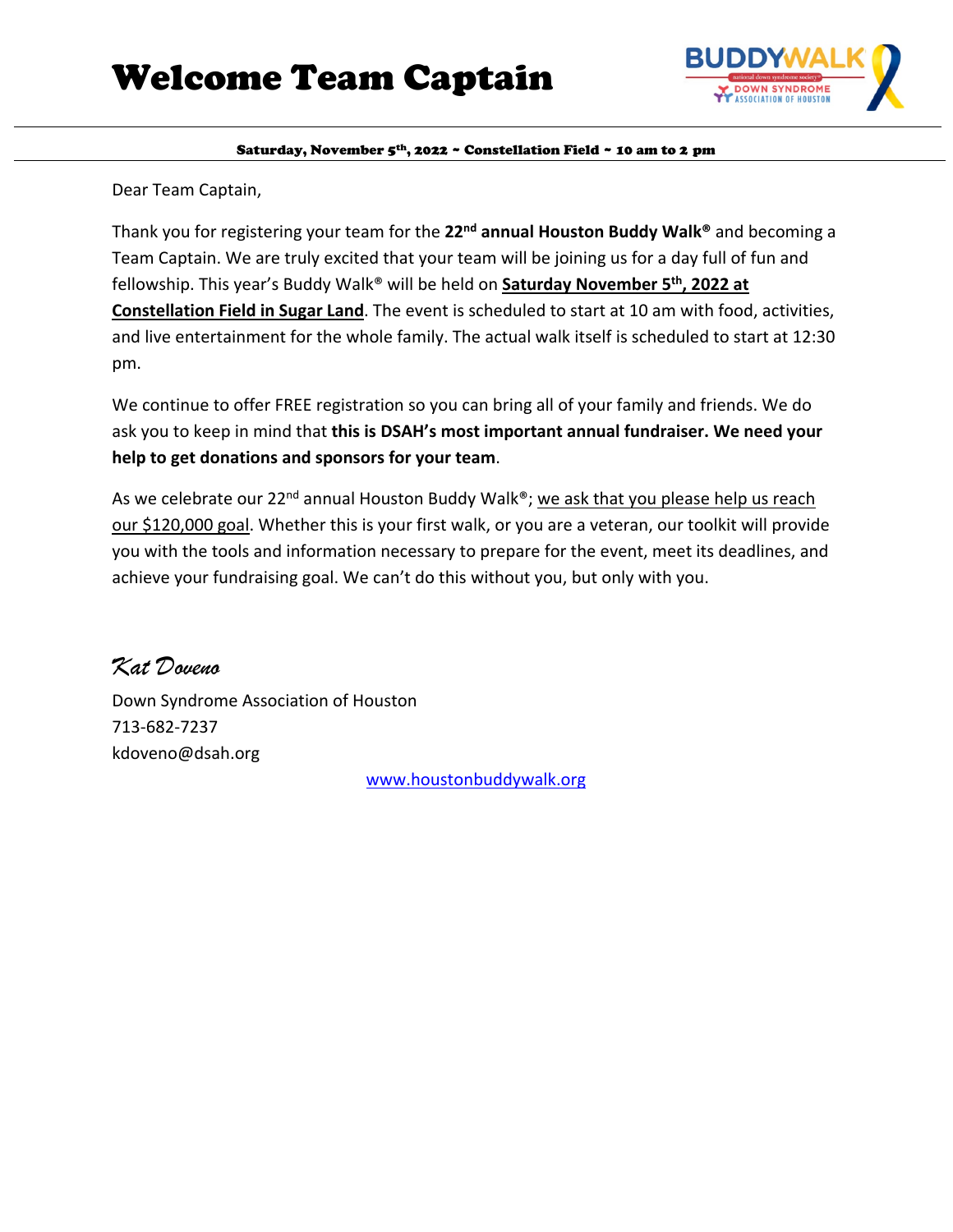

Dear Team Captain,

Thank you for registering your team for the **22nd annual Houston Buddy Walk®** and becoming a Team Captain. We are truly excited that your team will be joining us for a day full of fun and fellowship. This year's Buddy Walk® will be held on **Saturday November 5th, 2022 at Constellation Field in Sugar Land**. The event is scheduled to start at 10 am with food, activities, and live entertainment for the whole family. The actual walk itself is scheduled to start at 12:30 pm.

We continue to offer FREE registration so you can bring all of your family and friends. We do ask you to keep in mind that **this is DSAH's most important annual fundraiser. We need your help to get donations and sponsors for your team**.

As we celebrate our 22<sup>nd</sup> annual Houston Buddy Walk®; we ask that you please help us reach our \$120,000 goal. Whether this is your first walk, or you are a veteran, our toolkit will provide you with the tools and information necessary to prepare for the event, meet its deadlines, and achieve your fundraising goal. We can't do this without you, but only with you.

*Kat Doveno* Down Syndrome Association of Houston 713-682-7237 kdoveno@dsah.org

[www.houstonbuddywalk.org](http://www.houstonbuddywalk.org/)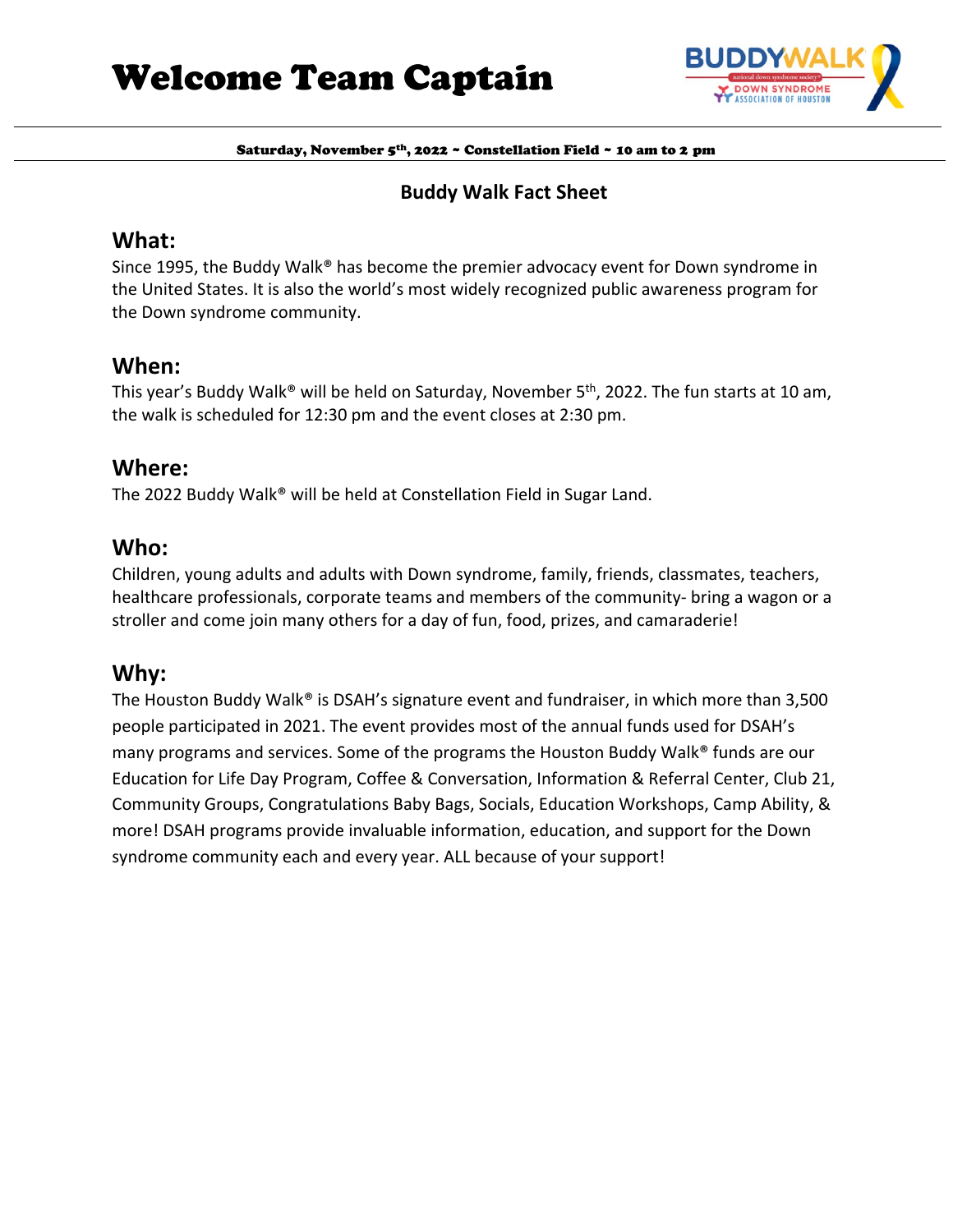

# **Buddy Walk Fact Sheet**

**What:** Since 1995, the Buddy Walk<sup>®</sup> has become the premier advocacy event for Down syndrome in the United States. It is also the world's most widely recognized public awareness program for the Down syndrome community.

# **When:**

This year's Buddy Walk<sup>®</sup> will be held on Saturday, November 5<sup>th</sup>, 2022. The fun starts at 10 am, the walk is scheduled for 12:30 pm and the event closes at 2:30 pm.

# **Where:**

The 2022 Buddy Walk® will be held at Constellation Field in Sugar Land.

# **Who:**

Children, young adults and adults with Down syndrome, family, friends, classmates, teachers, healthcare professionals, corporate teams and members of the community- bring a wagon or a stroller and come join many others for a day of fun, food, prizes, and camaraderie!

# **Why:**

The Houston Buddy Walk® is DSAH's signature event and fundraiser, in which more than 3,500 people participated in 2021. The event provides most of the annual funds used for DSAH's many programs and services. Some of the programs the Houston Buddy Walk® funds are our Education for Life Day Program, Coffee & Conversation, Information & Referral Center, Club 21, Community Groups, Congratulations Baby Bags, Socials, Education Workshops, Camp Ability, & more! DSAH programs provide invaluable information, education, and support for the Down syndrome community each and every year. ALL because of your support!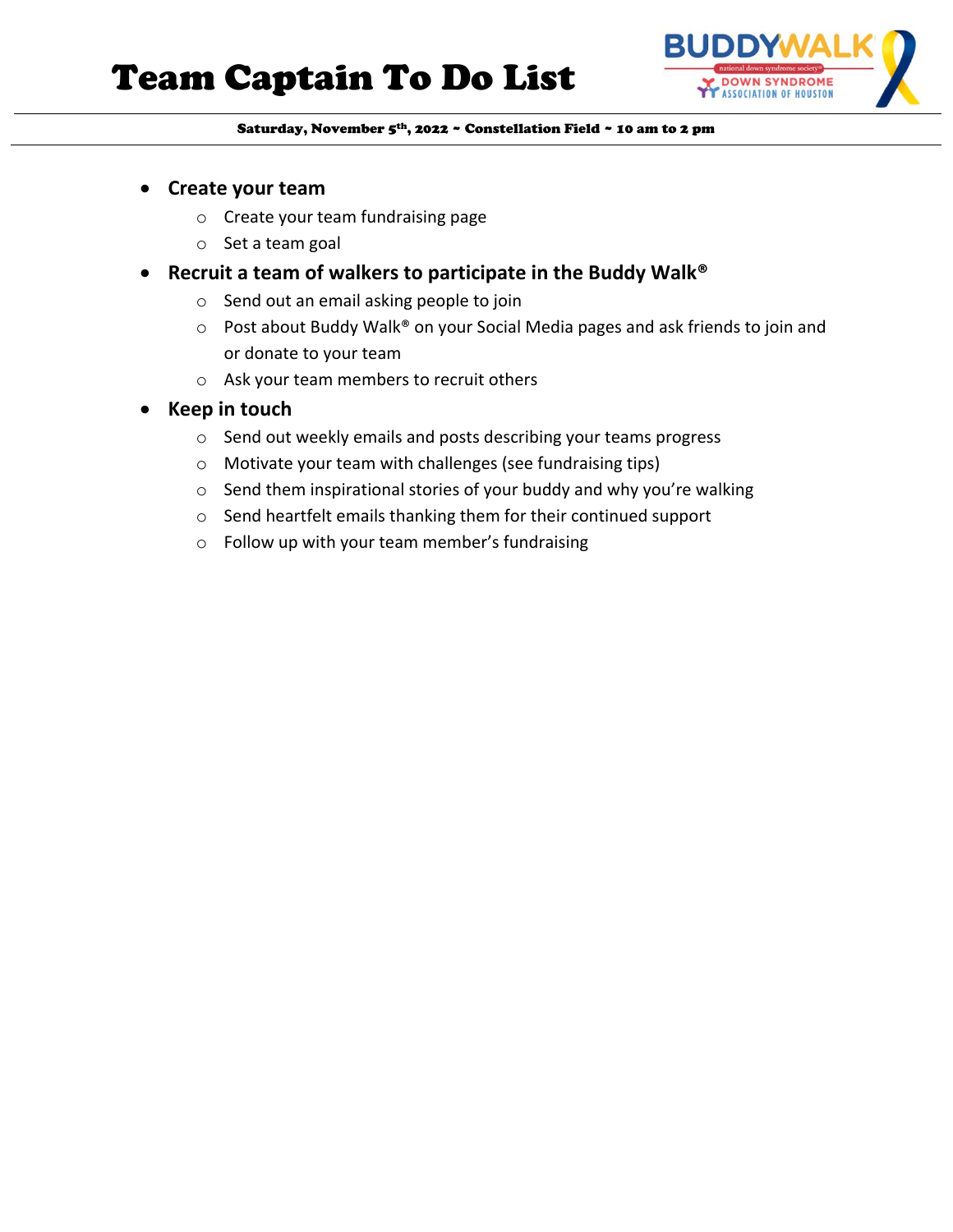# Team Captain To Do List



#### Saturday, November 5th, 2022 ~ Constellation Field ~ 10 am to 2 pm

- **Create your team** 
	- o Create your team fundraising page
	- o Set a team goal
- **Recruit a team of walkers to participate in the Buddy Walk®**
	- o Send out an email asking people to join
	- o Post about Buddy Walk® on your Social Media pages and ask friends to join and or donate to your team
	- o Ask your team members to recruit others
- **Keep in touch**
	- o Send out weekly emails and posts describing your teams progress
	- o Motivate your team with challenges (see fundraising tips)
	- o Send them inspirational stories of your buddy and why you're walking
	- o Send heartfelt emails thanking them for their continued support
	- o Follow up with your team member's fundraising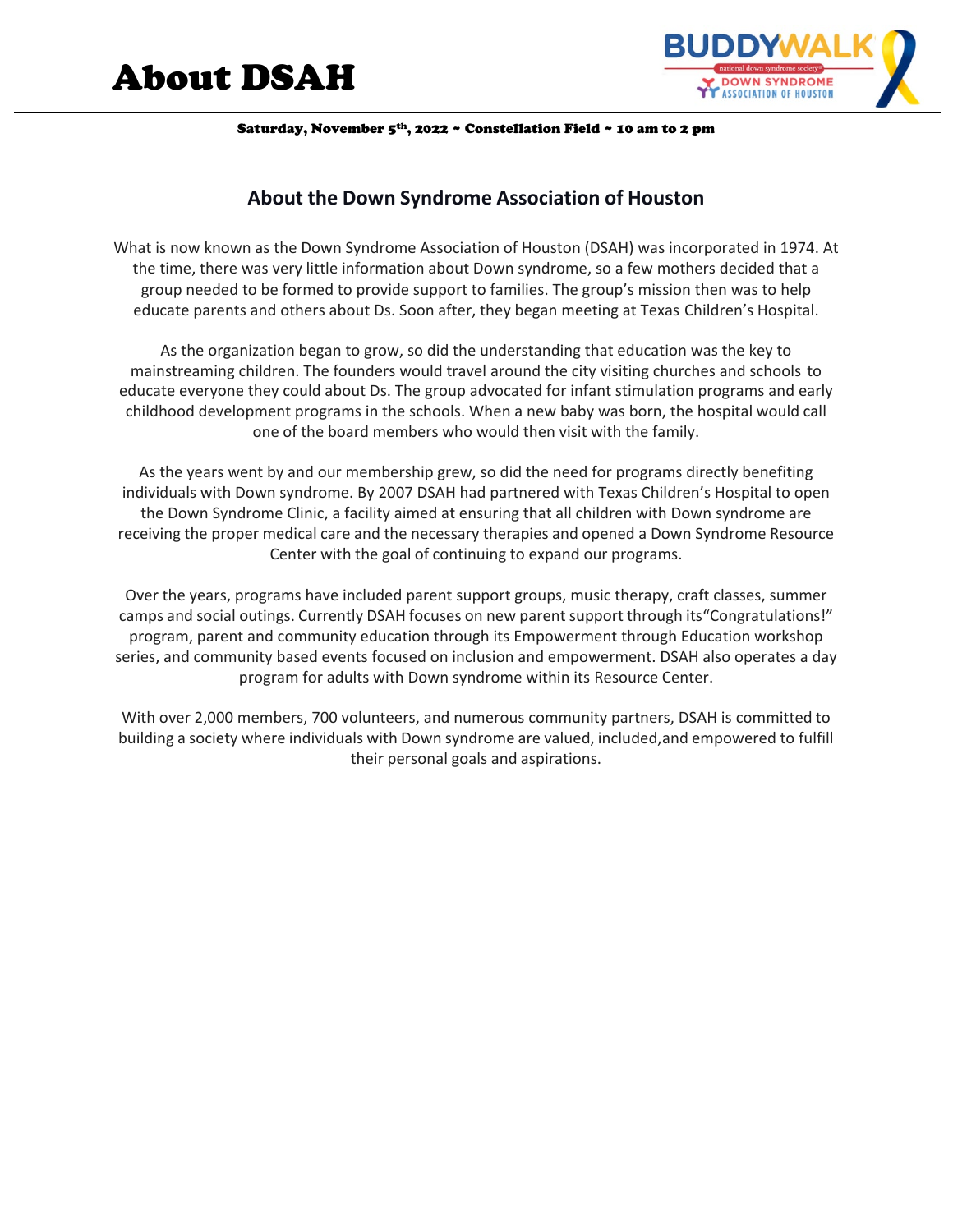# About DSAH



Saturday, November 5<sup>th</sup>, 2022 ~ Constellation Field ~ 10 am to 2 pm

# **About the Down Syndrome Association of Houston**

What is now known as the Down Syndrome Association of Houston (DSAH) was incorporated in 1974. At the time, there was very little information about Down syndrome, so a few mothers decided that a group needed to be formed to provide support to families. The group's mission then was to help educate parents and others about Ds. Soon after, they began meeting at Texas Children's Hospital.

As the organization began to grow, so did the understanding that education was the key to mainstreaming children. The founders would travel around the city visiting churches and schools to educate everyone they could about Ds. The group advocated for infant stimulation programs and early childhood development programs in the schools. When a new baby was born, the hospital would call one of the board members who would then visit with the family.

As the years went by and our membership grew, so did the need for programs directly benefiting individuals with Down syndrome. By 2007 DSAH had partnered with Texas Children's Hospital to open the Down Syndrome Clinic, a facility aimed at ensuring that all children with Down syndrome are receiving the proper medical care and the necessary therapies and opened a Down Syndrome Resource Center with the goal of continuing to expand our programs.

Over the years, programs have included parent support groups, music therapy, craft classes, summer camps and social outings. Currently DSAH focuses on new parentsupport through its"Congratulations!" program, parent and community education through its Empowerment through Education workshop series, and community based events focused on inclusion and empowerment. DSAH also operates a day program for adults with Down syndrome within its Resource Center.

With over 2,000 members, 700 volunteers, and numerous community partners, DSAH is committed to building a society where individuals with Down syndrome are valued, included,and empowered to fulfill their personal goals and aspirations.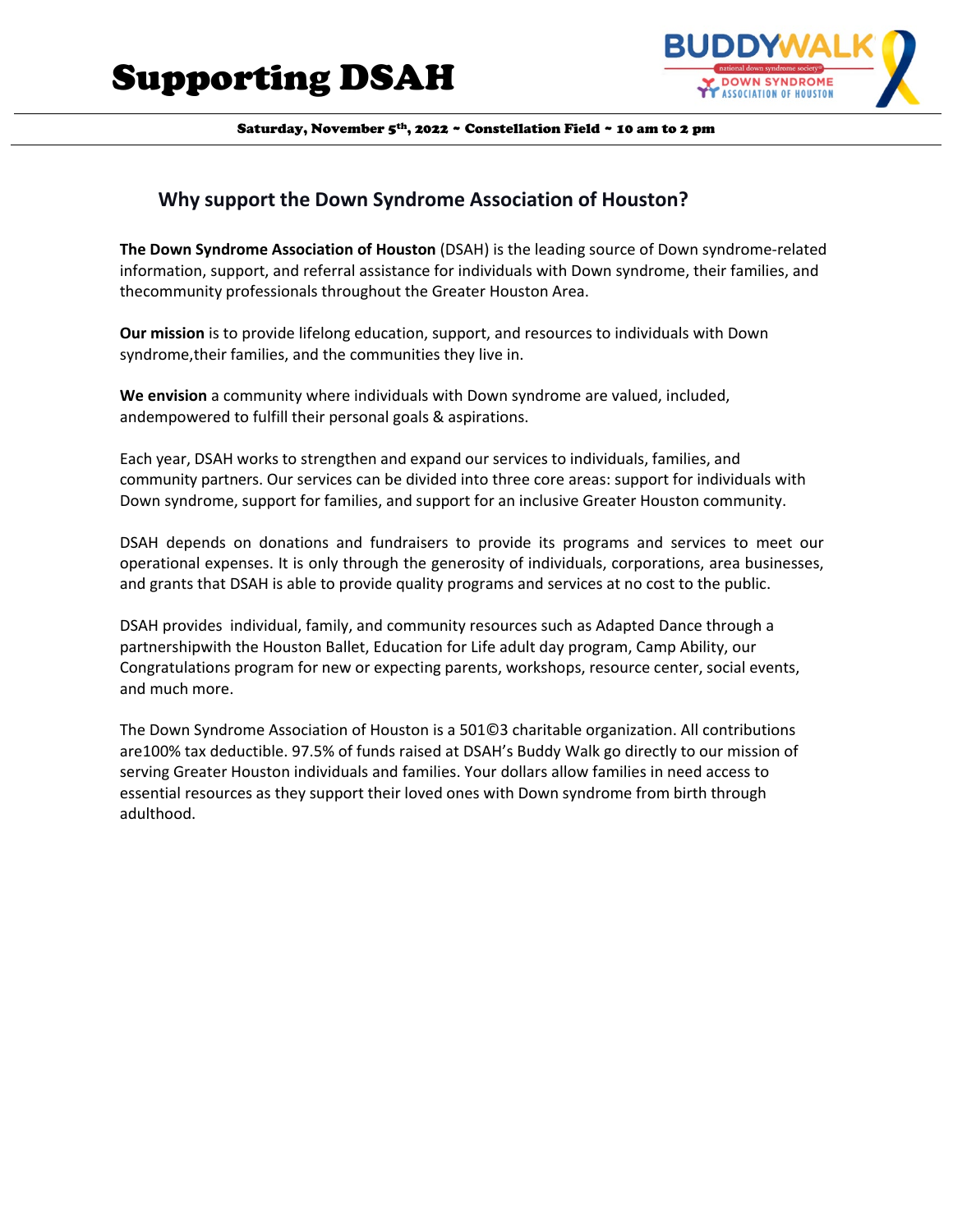

## **Why support the Down Syndrome Association of Houston?**

**The Down Syndrome Association of Houston** (DSAH) is the leading source of Down syndrome-related information, support, and referral assistance for individuals with Down syndrome, their families, and thecommunity professionals throughout the Greater Houston Area.

**Our mission** is to provide lifelong education, support, and resources to individuals with Down syndrome,their families, and the communities they live in.

**We envision** a community where individuals with Down syndrome are valued, included, andempowered to fulfill their personal goals & aspirations.

Each year, DSAH works to strengthen and expand our services to individuals, families, and community partners. Our services can be divided into three core areas: support for individuals with Down syndrome, support for families, and support for an inclusive Greater Houston community.

DSAH depends on donations and fundraisers to provide its programs and services to meet our operational expenses. It is only through the generosity of individuals, corporations, area businesses, and grants that DSAH is able to provide quality programs and services at no cost to the public.

DSAH provides individual, family, and community resources such as Adapted Dance through a partnershipwith the Houston Ballet, Education for Life adult day program, Camp Ability, our Congratulations program for new or expecting parents, workshops, resource center, social events, and much more.

The Down Syndrome Association of Houston is a 501©3 charitable organization. All contributions are100% tax deductible. 97.5% of funds raised at DSAH's Buddy Walk go directly to our mission of serving Greater Houston individuals and families. Your dollars allow families in need access to essential resources as they support their loved ones with Down syndrome from birth through adulthood.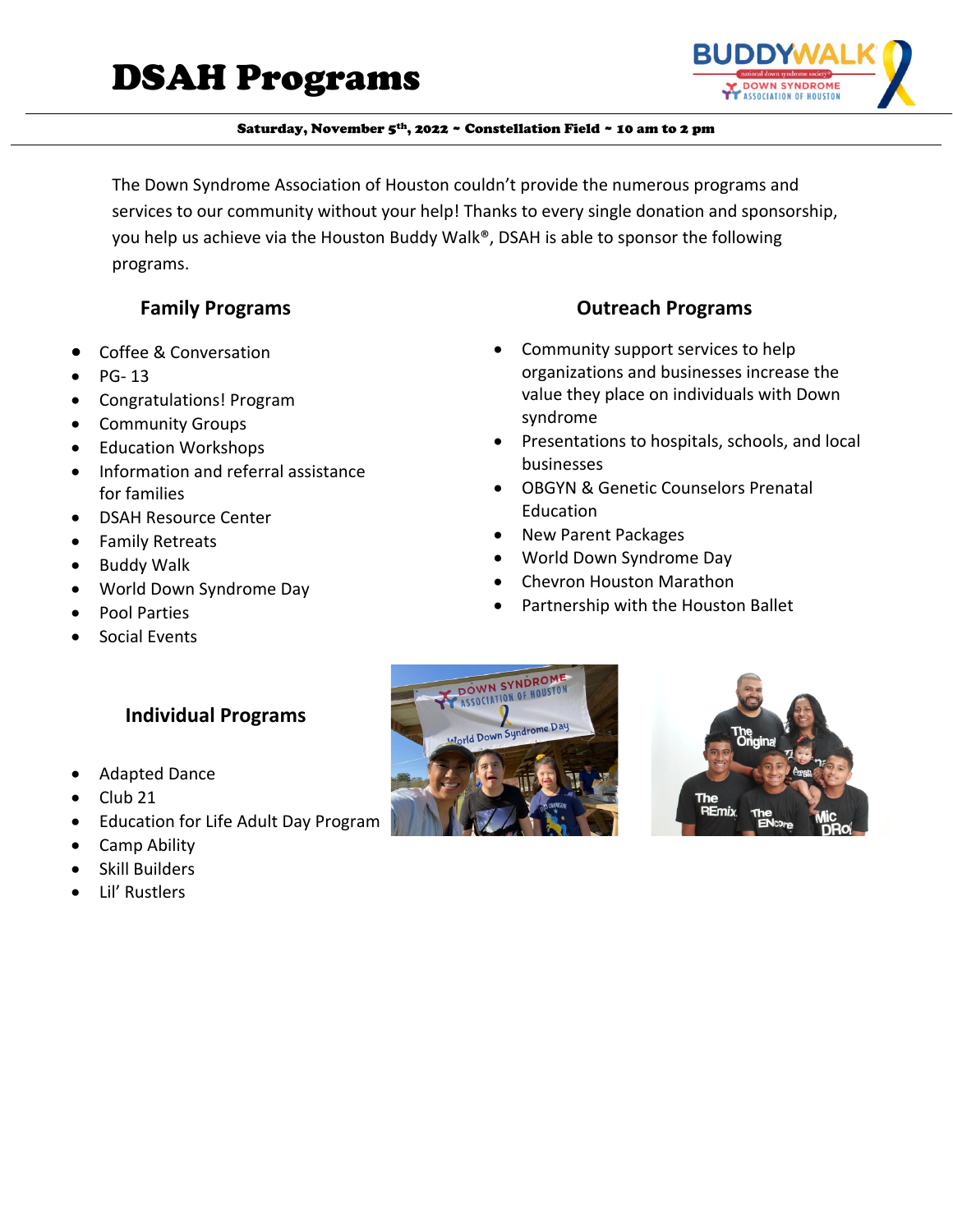

The Down Syndrome Association of Houston couldn't provide the numerous programs and services to our community without your help! Thanks to every single donation and sponsorship, you help us achieve via the Houston Buddy Walk®, DSAH is able to sponsor the following programs.

# **Family Programs**

- Coffee & Conversation
- PG- 13
- Congratulations! Program
- Community Groups
- Education Workshops
- Information and referral assistance for families
- DSAH Resource Center
- Family Retreats
- Buddy Walk
- World Down Syndrome Day
- Pool Parties
- Social Events

# **Individual Programs**

- Adapted Dance
- Club 21
- Education for Life Adult Day Program
- Camp Ability
- Skill Builders
- Lil' Rustlers





- Community support services to help organizations and businesses increase the value they place on individuals with Down syndrome
- Presentations to hospitals, schools, and local businesses
- OBGYN & Genetic Counselors Prenatal Education
- New Parent Packages
- World Down Syndrome Day
- Chevron Houston Marathon
- Partnership with the Houston Ballet

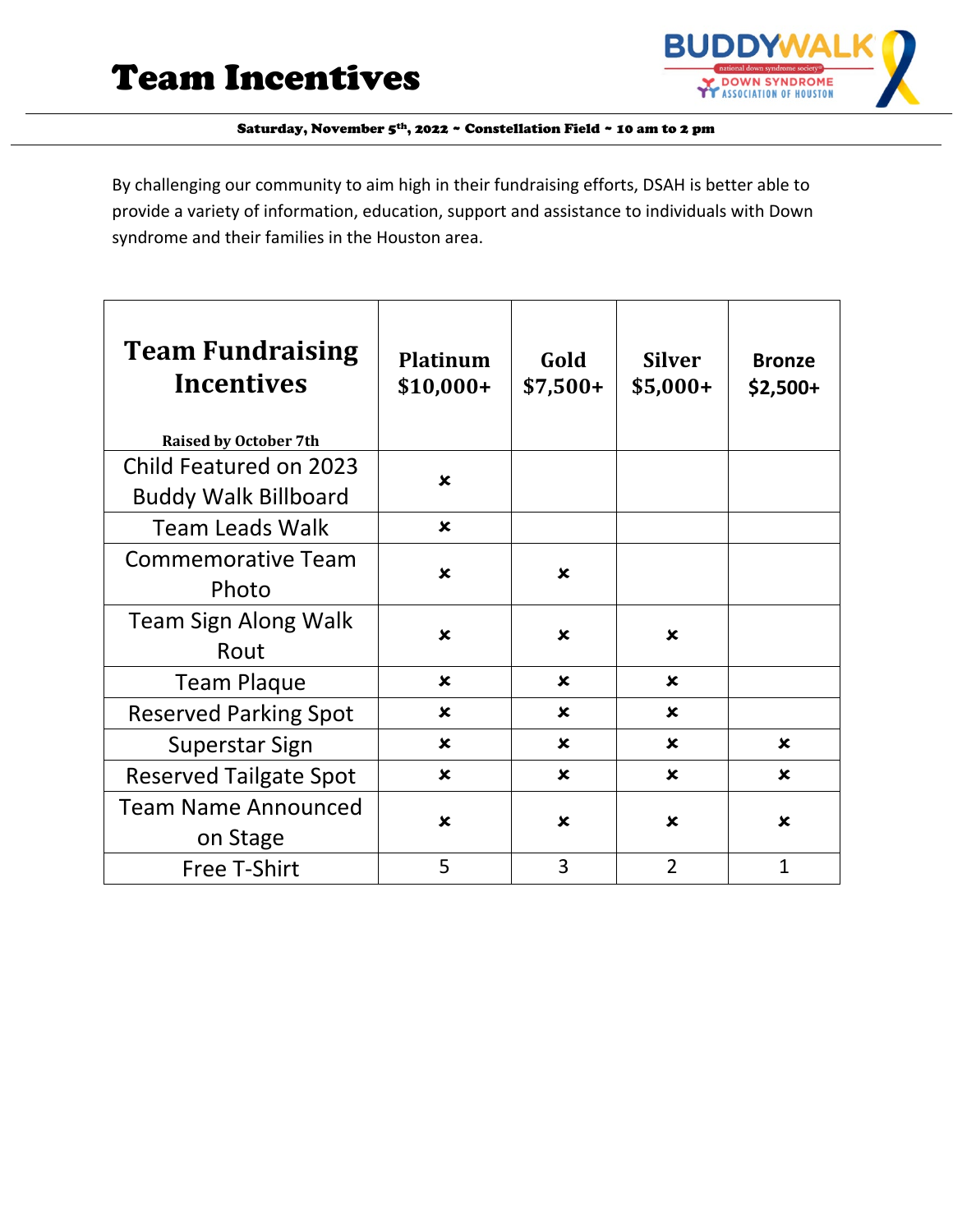

By challenging our community to aim high in their fundraising efforts, DSAH is better able to provide a variety of information, education, support and assistance to individuals with Down syndrome and their families in the Houston area.

| <b>Team Fundraising</b><br><b>Incentives</b><br><b>Raised by October 7th</b> | <b>Platinum</b><br>\$10,000+ | Gold<br>$$7,500+$         | <b>Silver</b><br>$$5,000+$ | <b>Bronze</b><br>$$2,500+$ |
|------------------------------------------------------------------------------|------------------------------|---------------------------|----------------------------|----------------------------|
| Child Featured on 2023<br><b>Buddy Walk Billboard</b>                        | $\mathbf x$                  |                           |                            |                            |
| <b>Team Leads Walk</b>                                                       | $\boldsymbol{\mathsf{x}}$    |                           |                            |                            |
| <b>Commemorative Team</b><br>Photo                                           | $\boldsymbol{\mathsf{x}}$    | x                         |                            |                            |
| Team Sign Along Walk<br>Rout                                                 | $\mathbf x$                  | $\mathbf x$               | $\mathbf x$                |                            |
| <b>Team Plaque</b>                                                           | $\mathbf x$                  | $\mathbf x$               | $\mathbf x$                |                            |
| <b>Reserved Parking Spot</b>                                                 | $\boldsymbol{\mathsf{x}}$    | $\boldsymbol{\mathsf{x}}$ | $\boldsymbol{\mathsf{x}}$  |                            |
| Superstar Sign                                                               | $\mathbf x$                  | $\mathbf x$               | $\mathbf x$                | $\mathbf x$                |
| <b>Reserved Tailgate Spot</b>                                                | $\boldsymbol{\mathsf{x}}$    | $\boldsymbol{\mathsf{x}}$ | $\boldsymbol{\mathsf{x}}$  | $\boldsymbol{\mathsf{x}}$  |
| <b>Team Name Announced</b><br>on Stage                                       | $\boldsymbol{\mathsf{x}}$    | $\mathbf x$               | $\boldsymbol{\mathsf{x}}$  | $\mathbf x$                |
| <b>Free T-Shirt</b>                                                          | 5                            | 3                         | $\overline{2}$             | $\mathbf{1}$               |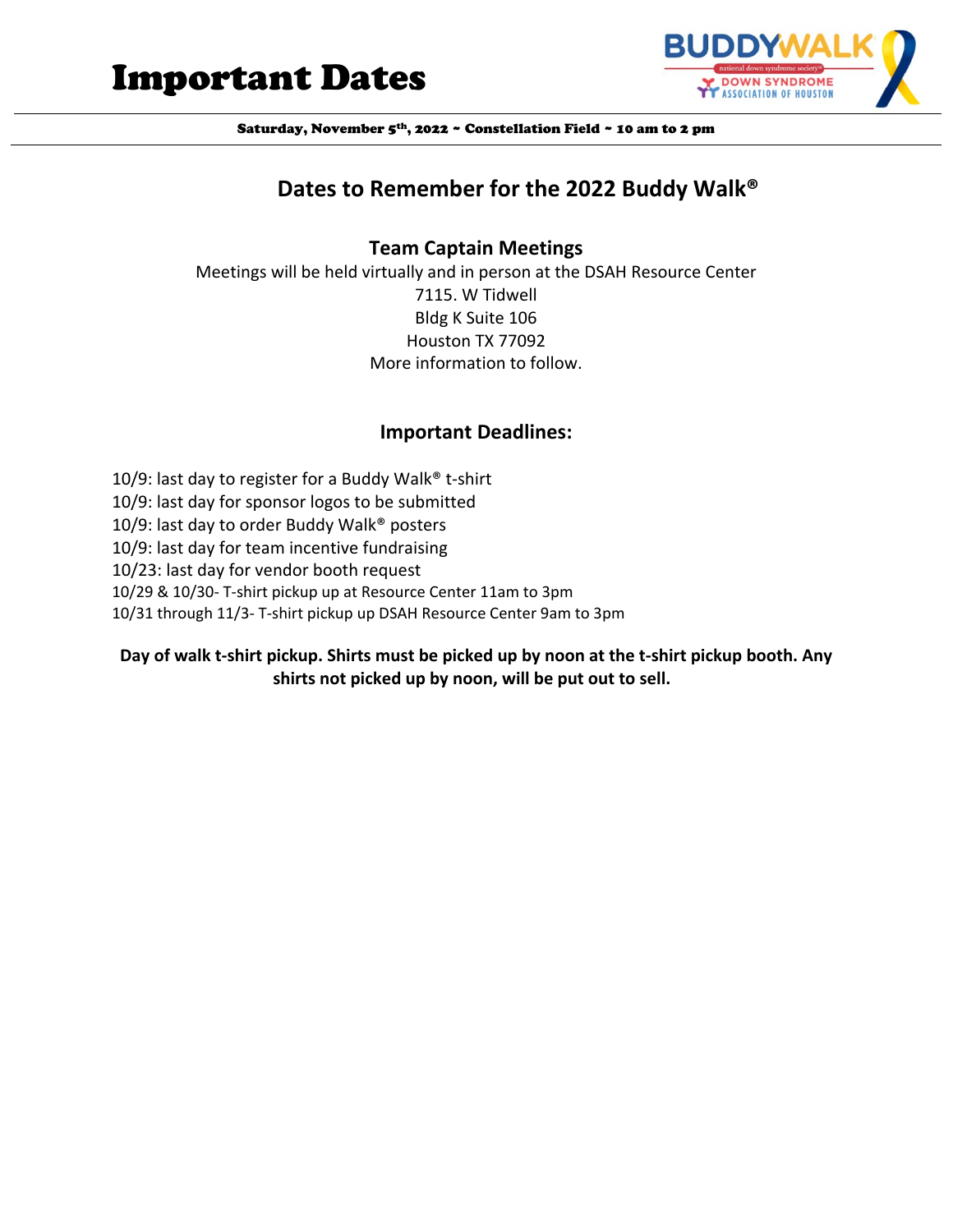



# **Dates to Remember for the 2022 Buddy Walk®**

#### **Team Captain Meetings**

Meetings will be held virtually and in person at the DSAH Resource Center 7115. W Tidwell Bldg K Suite 106 Houston TX 77092 More information to follow.

#### **Important Deadlines:**

10/9: last day to register for a Buddy Walk® t-shirt 10/9: last day for sponsor logos to be submitted 10/9: last day to order Buddy Walk® posters 10/9: last day for team incentive fundraising 10/23: last day for vendor booth request 10/29 & 10/30- T-shirt pickup up at Resource Center 11am to 3pm 10/31 through 11/3- T-shirt pickup up DSAH Resource Center 9am to 3pm

#### **Day of walk t-shirt pickup. Shirts must be picked up by noon at the t-shirt pickup booth. Any shirts not picked up by noon, will be put out to sell.**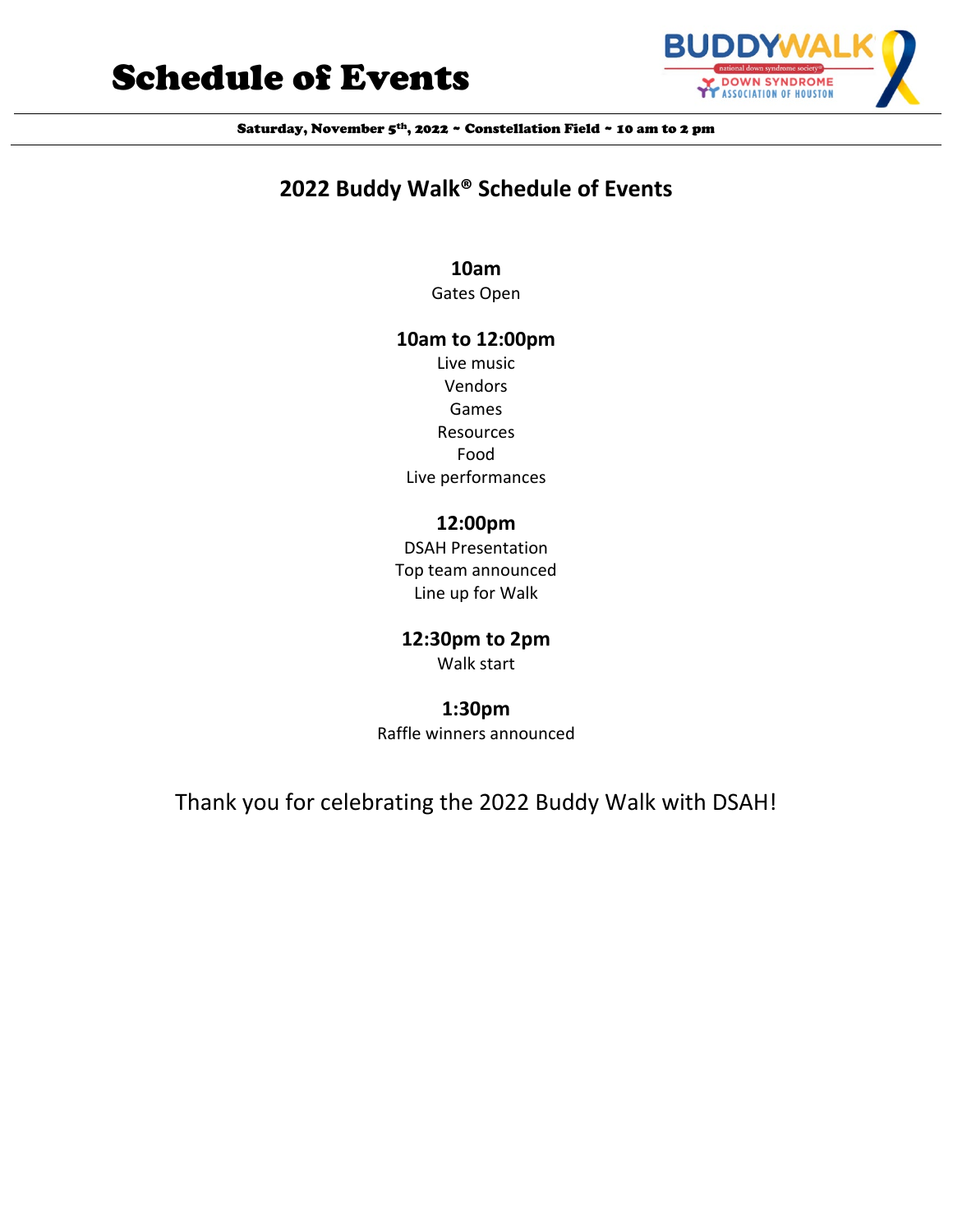# Schedule of Events



Saturday, November 5<sup>th</sup>, 2022 ~ Constellation Field ~ 10 am to 2 pm

# **2022 Buddy Walk® Schedule of Events**

# **10am**

Gates Open

## **10am to 12:00pm**

Live music Vendors Games Resources Food Live performances

# **12:00pm**

DSAH Presentation Top team announced Line up for Walk

# **12:30pm to 2pm**

Walk start

# **1:30pm**

Raffle winners announced

# Thank you for celebrating the 2022 Buddy Walk with DSAH!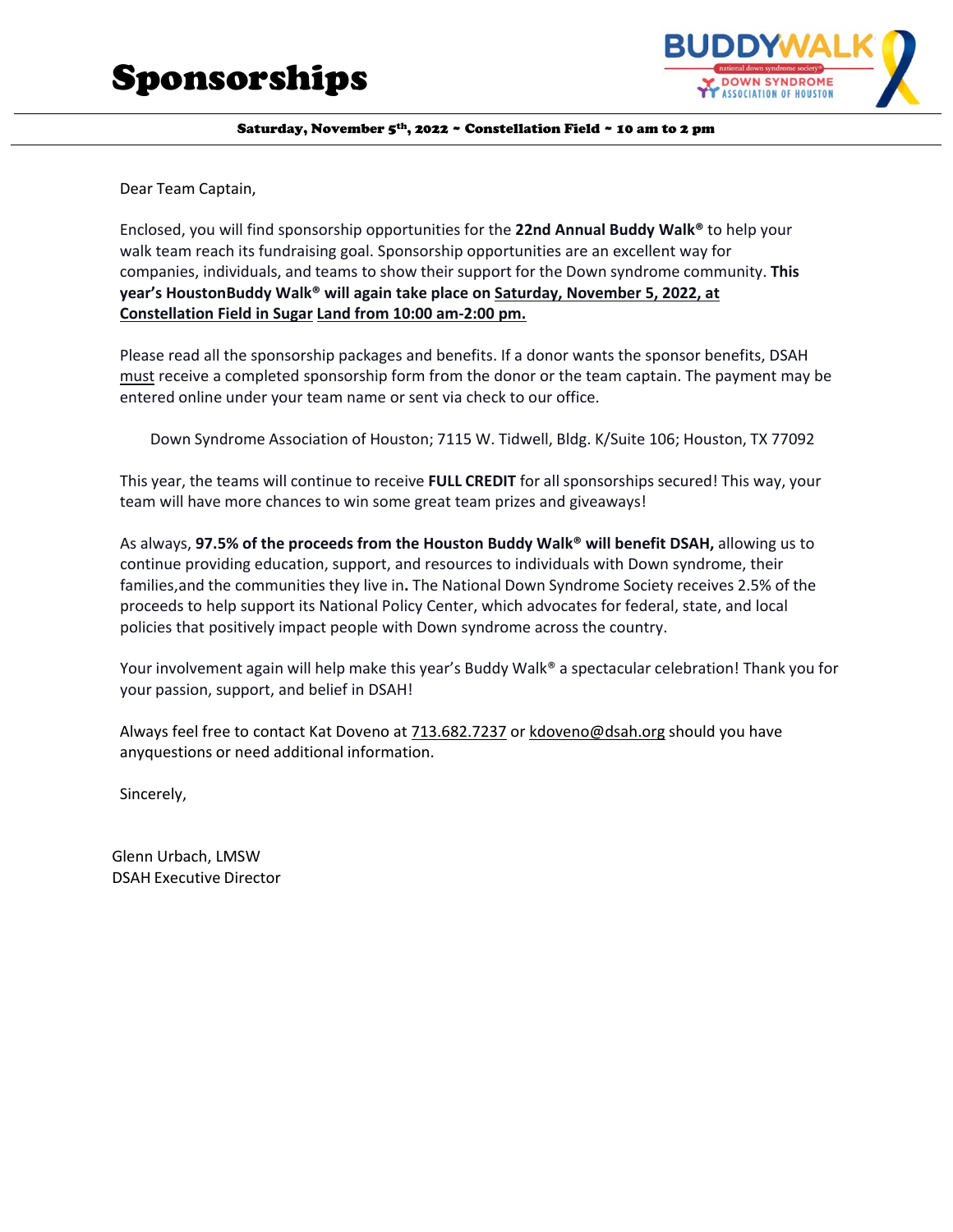

Dear Team Captain,

Enclosed, you will find sponsorship opportunities for the **22nd Annual Buddy Walk®** to help your walk team reach its fundraising goal. Sponsorship opportunities are an excellent way for companies, individuals, and teams to show their support for the Down syndrome community. **This year's HoustonBuddy Walk® will again take place on Saturday, November 5, 2022, at Constellation Field in Sugar Land from 10:00 am-2:00 pm.**

Please read all the sponsorship packages and benefits. If a donor wants the sponsor benefits, DSAH must receive a completed sponsorship form from the donor or the team captain. The payment may be entered online under your team name or sent via check to our office.

Down Syndrome Association of Houston; 7115 W. Tidwell, Bldg. K/Suite 106; Houston, TX 77092

This year, the teams will continue to receive **FULL CREDIT** for all sponsorships secured! This way, your team will have more chances to win some great team prizes and giveaways!

As always, **97.5% of the proceeds from the Houston Buddy Walk® will benefit DSAH,** allowing us to continue providing education, support, and resources to individuals with Down syndrome, their families, and the communities they live in**.** The National Down Syndrome Society receives 2.5% of the proceeds to help support its National Policy Center, which advocates for federal, state, and local policies that positively impact people with Down syndrome across the country.

Your involvement again will help make this year's Buddy Walk® a spectacular celebration! Thank you for your passion, support, and belief in DSAH!

Always feel free to contact Kat Doveno at 713.682.7237 or [kdoveno@dsah.org](mailto:kdoveno@dsah.org) should you have anyquestions or need additional information.

Sincerely,

Glenn Urbach, LMSW DSAH Executive Director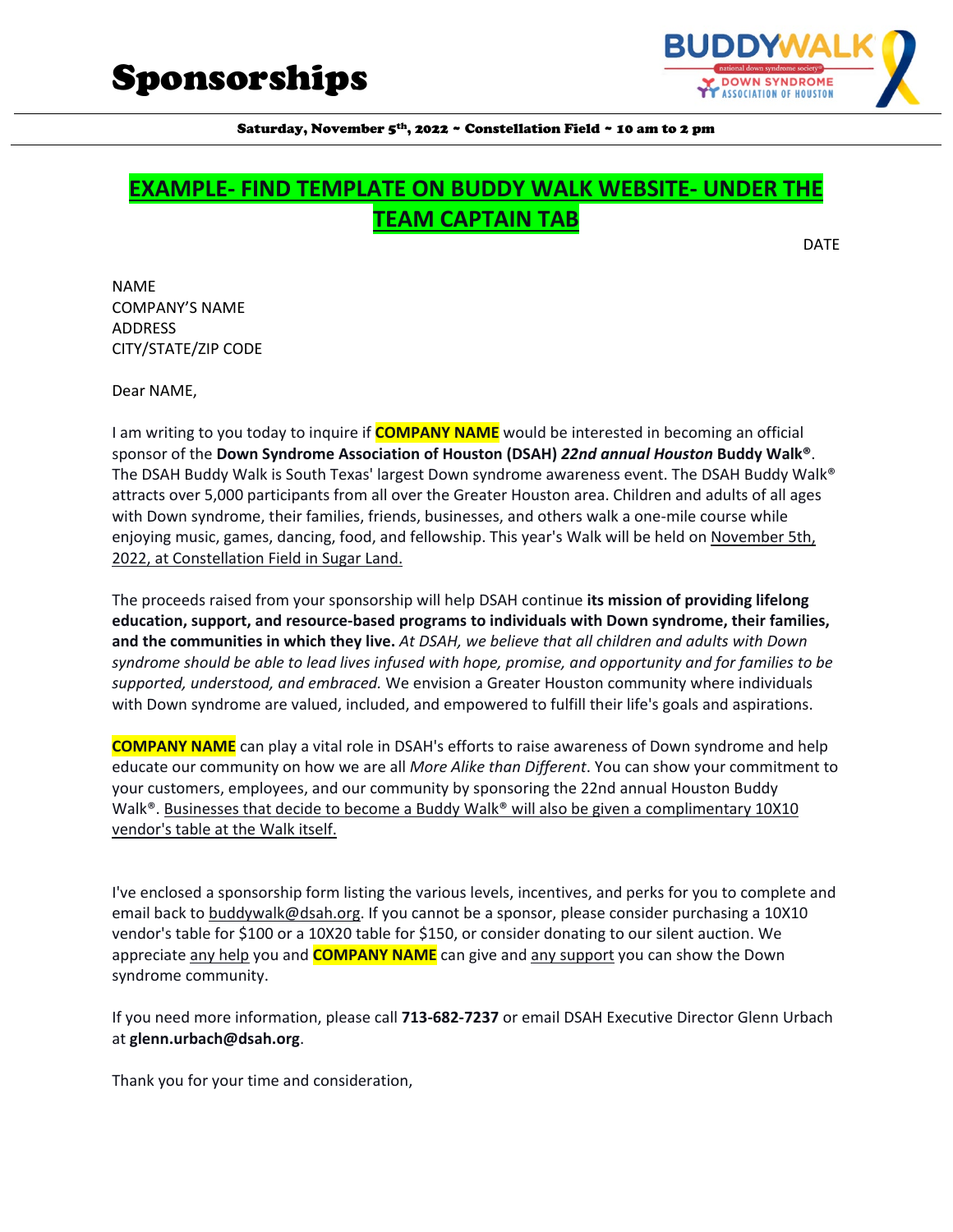

# **EXAMPLE- FIND TEMPLATE ON BUDDY WALK WEBSITE- UNDER THE TEAM CAPTAIN TAB**

DATE

NAME COMPANY'S NAME ADDRESS CITY/STATE/ZIP CODE

Dear NAME,

I am writing to you today to inquire if **COMPANY NAME** would be interested in becoming an official sponsor of the **Down Syndrome Association of Houston (DSAH)** *22nd annual Houston* **Buddy Walk®**. The DSAH Buddy Walk is South Texas' largest Down syndrome awareness event. The DSAH Buddy Walk® attracts over 5,000 participants from all over the Greater Houston area. Children and adults of all ages with Down syndrome, their families, friends, businesses, and others walk a one-mile course while enjoying music, games, dancing, food, and fellowship. This year's Walk will be held on November 5th, 2022, at Constellation Field in Sugar Land.

The proceeds raised from your sponsorship will help DSAH continue **its mission of providing lifelong education, support, and resource-based programs to individuals with Down syndrome, their families, and the communities in which they live.** *At DSAH, we believe that all children and adults with Down syndrome should be able to lead lives infused with hope, promise, and opportunity and for families to be supported, understood, and embraced.* We envision a Greater Houston community where individuals with Down syndrome are valued, included, and empowered to fulfill their life's goals and aspirations.

**COMPANY NAME** can play a vital role in DSAH's efforts to raise awareness of Down syndrome and help educate our community on how we are all *More Alike than Different*. You can show your commitment to your customers, employees, and our community by sponsoring the 22nd annual Houston Buddy Walk<sup>®</sup>. Businesses that decide to become a Buddy Walk<sup>®</sup> will also be given a complimentary 10X10 vendor's table at the Walk itself.

I've enclosed a sponsorship form listing the various levels, incentives, and perks for you to complete and email back to buddywalk@dsah.org. If you cannot be a sponsor, please consider purchasing a 10X10 vendor's table for \$100 or a 10X20 table for \$150, or consider donating to our silent auction. We appreciate any help you and **COMPANY NAME** can give and any support you can show the Down syndrome community.

If you need more information, please call **713-682-7237** or email DSAH Executive Director Glenn Urbach at **glenn.urbach@dsah.org**.

Thank you for your time and consideration,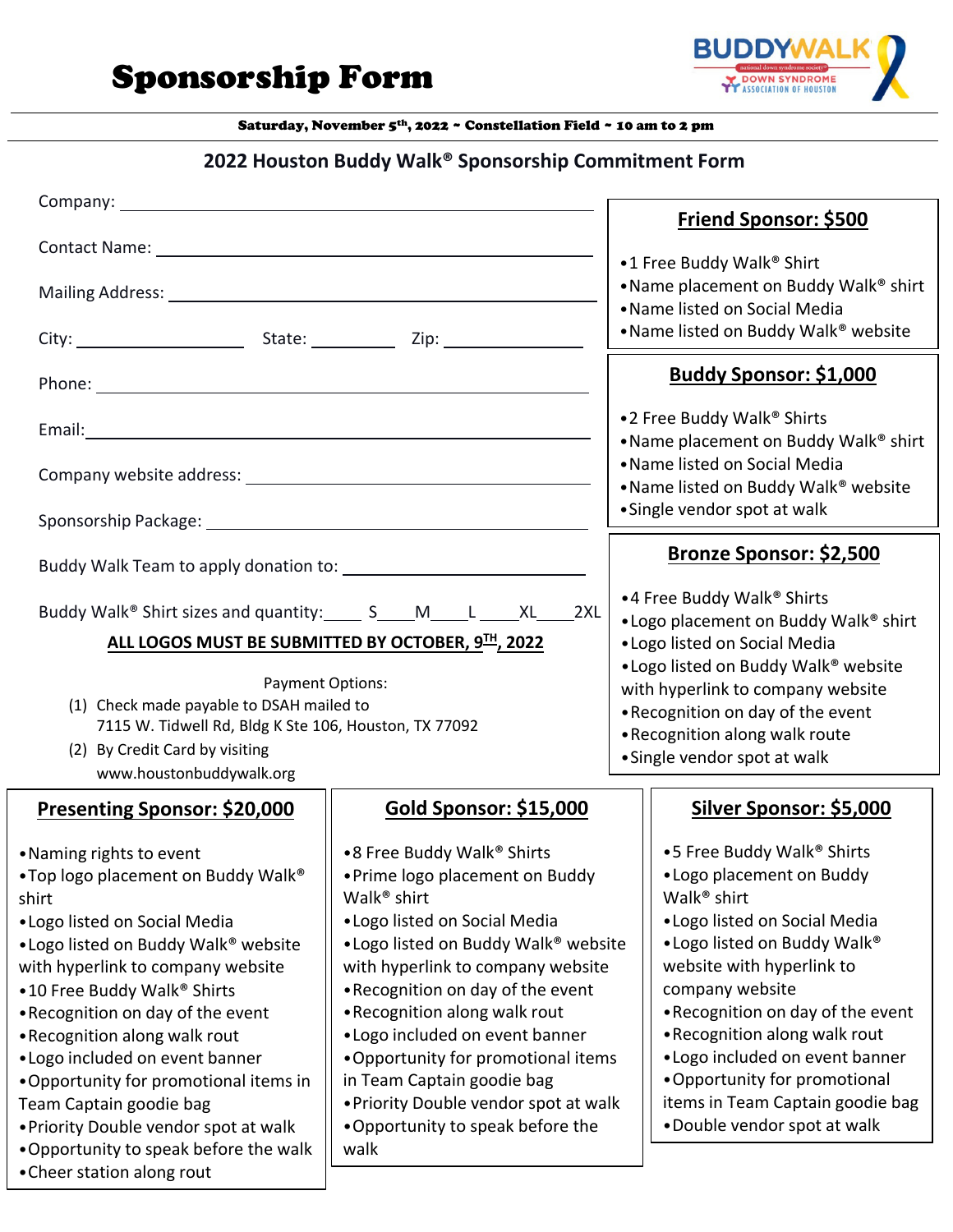Sponsorship Form



Saturday, November 5th, 2022 ~ Constellation Field ~ 10 am to 2 pm

# **2022 Houston Buddy Walk® Sponsorship Commitment Form**

|                                                                                                                                                                                                                                                                                                                                                                                                                                                                                                                    | <b>Friend Sponsor: \$500</b>                                                                                                                                                                                                                                                                                                                                                                                                                                                          |                                                                                                                                                                                                                                                                                                                                                                                                                |
|--------------------------------------------------------------------------------------------------------------------------------------------------------------------------------------------------------------------------------------------------------------------------------------------------------------------------------------------------------------------------------------------------------------------------------------------------------------------------------------------------------------------|---------------------------------------------------------------------------------------------------------------------------------------------------------------------------------------------------------------------------------------------------------------------------------------------------------------------------------------------------------------------------------------------------------------------------------------------------------------------------------------|----------------------------------------------------------------------------------------------------------------------------------------------------------------------------------------------------------------------------------------------------------------------------------------------------------------------------------------------------------------------------------------------------------------|
| Contact Name: Name: Name and South Assembly Management of the Management of the Management of the Management of the Management of the Management of the Management of the Management of the Management of the Management of th<br>Mailing Address: National Address: National Address: National Address: National Address: National Address: National Address: National Address: National Address: National Address: National Address: National Address: Nationa                                                   |                                                                                                                                                                                                                                                                                                                                                                                                                                                                                       | •1 Free Buddy Walk® Shirt<br>. Name placement on Buddy Walk® shirt<br>• Name listed on Social Media<br>• Name listed on Buddy Walk® website                                                                                                                                                                                                                                                                    |
|                                                                                                                                                                                                                                                                                                                                                                                                                                                                                                                    |                                                                                                                                                                                                                                                                                                                                                                                                                                                                                       | <b>Buddy Sponsor: \$1,000</b>                                                                                                                                                                                                                                                                                                                                                                                  |
|                                                                                                                                                                                                                                                                                                                                                                                                                                                                                                                    | •2 Free Buddy Walk® Shirts<br>. Name placement on Buddy Walk® shirt<br>• Name listed on Social Media                                                                                                                                                                                                                                                                                                                                                                                  |                                                                                                                                                                                                                                                                                                                                                                                                                |
|                                                                                                                                                                                                                                                                                                                                                                                                                                                                                                                    |                                                                                                                                                                                                                                                                                                                                                                                                                                                                                       | • Name listed on Buddy Walk <sup>®</sup> website<br>• Single vendor spot at walk                                                                                                                                                                                                                                                                                                                               |
|                                                                                                                                                                                                                                                                                                                                                                                                                                                                                                                    | <b>Bronze Sponsor: \$2,500</b>                                                                                                                                                                                                                                                                                                                                                                                                                                                        |                                                                                                                                                                                                                                                                                                                                                                                                                |
| Buddy Walk <sup>®</sup> Shirt sizes and quantity: ______ S_____M_____L ______XL_____2XL<br>ALL LOGOS MUST BE SUBMITTED BY OCTOBER, 9 <sup>TH</sup> , 2022                                                                                                                                                                                                                                                                                                                                                          | •4 Free Buddy Walk® Shirts<br>• Logo placement on Buddy Walk® shirt<br>• Logo listed on Social Media<br>• Logo listed on Buddy Walk® website<br>with hyperlink to company website<br>. Recognition on day of the event<br>•Recognition along walk route                                                                                                                                                                                                                               |                                                                                                                                                                                                                                                                                                                                                                                                                |
| <b>Payment Options:</b><br>(1) Check made payable to DSAH mailed to<br>7115 W. Tidwell Rd, Bldg K Ste 106, Houston, TX 77092<br>(2) By Credit Card by visiting                                                                                                                                                                                                                                                                                                                                                     |                                                                                                                                                                                                                                                                                                                                                                                                                                                                                       |                                                                                                                                                                                                                                                                                                                                                                                                                |
| www.houstonbuddywalk.org                                                                                                                                                                                                                                                                                                                                                                                                                                                                                           |                                                                                                                                                                                                                                                                                                                                                                                                                                                                                       | • Single vendor spot at walk                                                                                                                                                                                                                                                                                                                                                                                   |
| <b>Presenting Sponsor: \$20,000</b>                                                                                                                                                                                                                                                                                                                                                                                                                                                                                | <b>Gold Sponsor: \$15,000</b>                                                                                                                                                                                                                                                                                                                                                                                                                                                         | Silver Sponsor: \$5,000                                                                                                                                                                                                                                                                                                                                                                                        |
| • Naming rights to event<br>. Top logo placement on Buddy Walk®<br>shirt<br>• Logo listed on Social Media<br>• Logo listed on Buddy Walk® website<br>with hyperlink to company website<br>•10 Free Buddy Walk® Shirts<br>• Recognition on day of the event<br>•Recognition along walk rout<br>• Logo included on event banner<br>. Opportunity for promotional items in<br>Team Captain goodie bag<br>. Priority Double vendor spot at walk<br>•Opportunity to speak before the walk<br>• Cheer station along rout | •8 Free Buddy Walk® Shirts<br>• Prime logo placement on Buddy<br>Walk <sup>®</sup> shirt<br>• Logo listed on Social Media<br>• Logo listed on Buddy Walk <sup>®</sup> website<br>with hyperlink to company website<br>• Recognition on day of the event<br>•Recognition along walk rout<br>• Logo included on event banner<br>. Opportunity for promotional items<br>in Team Captain goodie bag<br>• Priority Double vendor spot at walk<br>. Opportunity to speak before the<br>walk | •5 Free Buddy Walk® Shirts<br>• Logo placement on Buddy<br>Walk <sup>®</sup> shirt<br>• Logo listed on Social Media<br>• Logo listed on Buddy Walk®<br>website with hyperlink to<br>company website<br>•Recognition on day of the event<br>•Recognition along walk rout<br>• Logo included on event banner<br>• Opportunity for promotional<br>items in Team Captain goodie bag<br>•Double vendor spot at walk |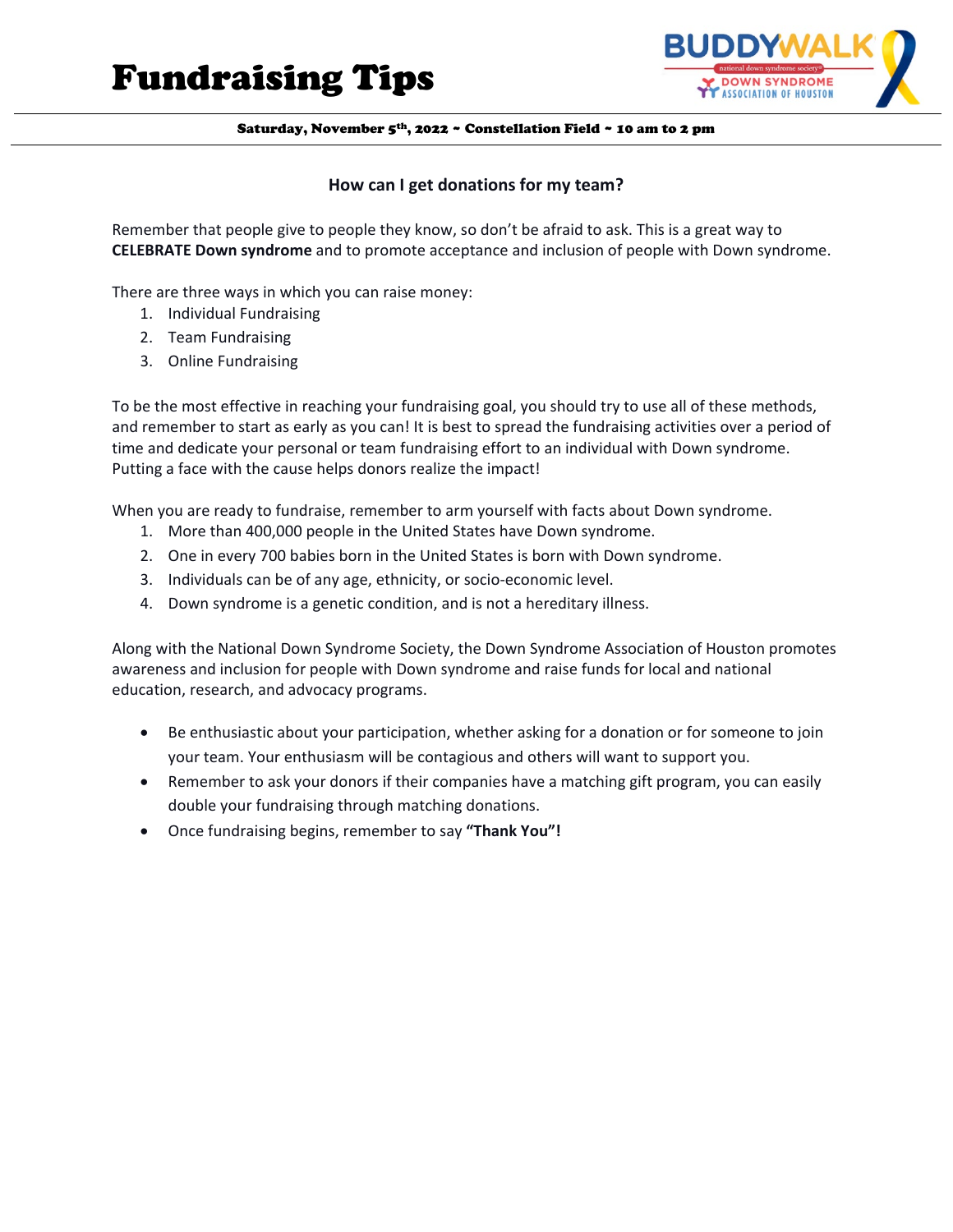# Fundraising Tips



Saturday, November 5th, 2022 ~ Constellation Field ~ 10 am to 2 pm

#### **How can I get donations for my team?**

Remember that people give to people they know, so don't be afraid to ask. This is a great way to **CELEBRATE Down syndrome** and to promote acceptance and inclusion of people with Down syndrome.

There are three ways in which you can raise money:

- 1. Individual Fundraising
- 2. Team Fundraising
- 3. Online Fundraising

To be the most effective in reaching your fundraising goal, you should try to use all of these methods, and remember to start as early as you can! It is best to spread the fundraising activities over a period of time and dedicate your personal or team fundraising effort to an individual with Down syndrome. Putting a face with the cause helps donors realize the impact!

When you are ready to fundraise, remember to arm yourself with facts about Down syndrome.

- 1. More than 400,000 people in the United States have Down syndrome.
- 2. One in every 700 babies born in the United States is born with Down syndrome.
- 3. Individuals can be of any age, ethnicity, or socio-economic level.
- 4. Down syndrome is a genetic condition, and is not a hereditary illness.

Along with the National Down Syndrome Society, the Down Syndrome Association of Houston promotes awareness and inclusion for people with Down syndrome and raise funds for local and national education, research, and advocacy programs.

- Be enthusiastic about your participation, whether asking for a donation or for someone to join your team. Your enthusiasm will be contagious and others will want to support you.
- Remember to ask your donors if their companies have a matching gift program, you can easily double your fundraising through matching donations.
- Once fundraising begins, remember to say **"Thank You"!**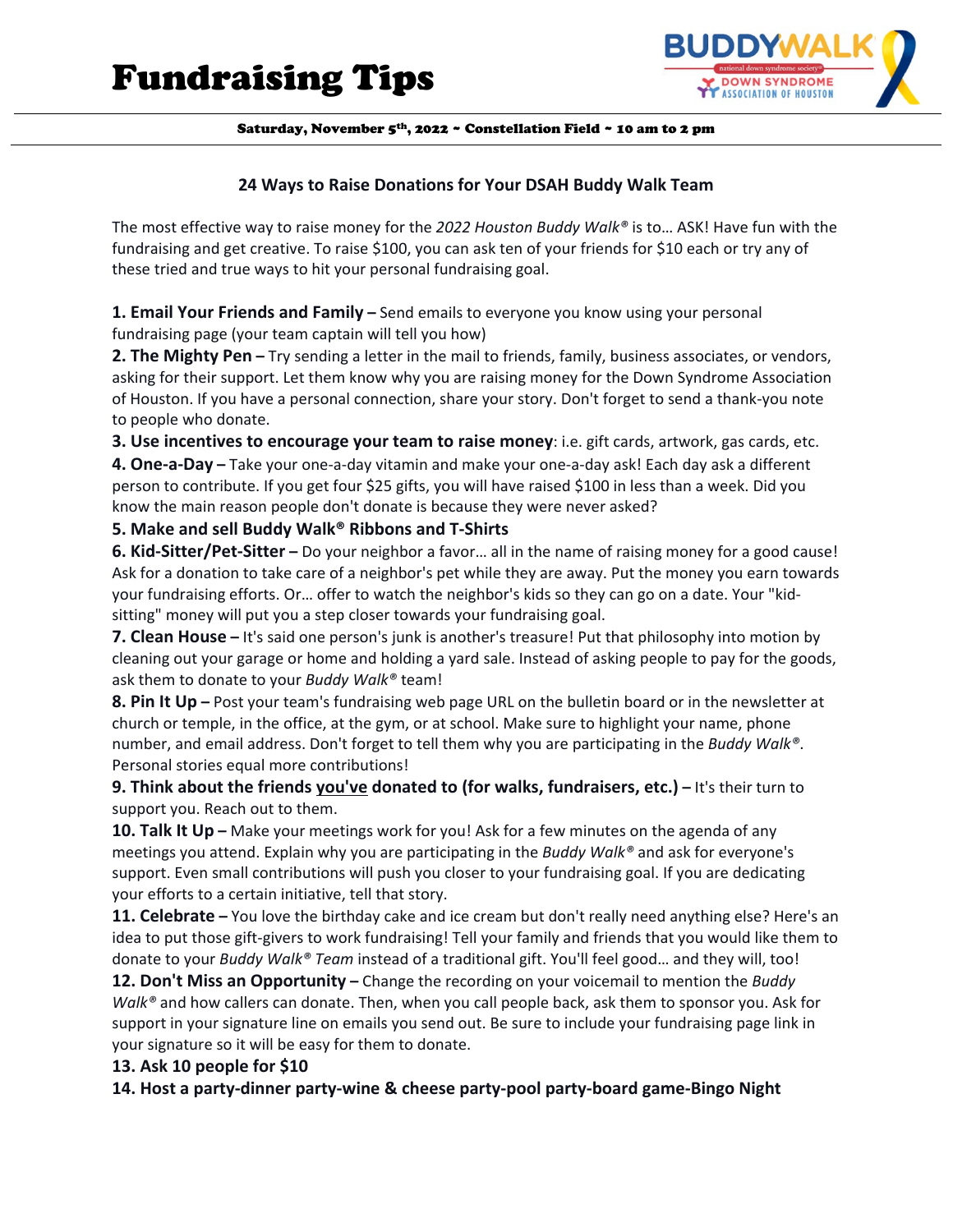

#### **24 Ways to Raise Donations for Your DSAH Buddy Walk Team**

The most effective way to raise money for the *2022 Houston Buddy Walk®* is to… ASK! Have fun with the fundraising and get creative. To raise \$100, you can ask ten of your friends for \$10 each or try any of these tried and true ways to hit your personal fundraising goal.

**1. Email Your Friends and Family –** Send emails to everyone you know using your personal fundraising page (your team captain will tell you how)

**2. The Mighty Pen –** Try sending a letter in the mail to friends, family, business associates, or vendors, asking for their support. Let them know why you are raising money for the Down Syndrome Association of Houston. If you have a personal connection, share your story. Don't forget to send a thank-you note to people who donate.

**3. Use incentives to encourage your team to raise money**: i.e. gift cards, artwork, gas cards, etc.

**4. One-a-Day –** Take your one-a-day vitamin and make your one-a-day ask! Each day ask a different person to contribute. If you get four \$25 gifts, you will have raised \$100 in less than a week. Did you know the main reason people don't donate is because they were never asked?

**5. Make and sell Buddy Walk® Ribbons and T-Shirts**

**6. Kid-Sitter/Pet-Sitter –** Do your neighbor a favor… all in the name of raising money for a good cause! Ask for a donation to take care of a neighbor's pet while they are away. Put the money you earn towards your fundraising efforts. Or… offer to watch the neighbor's kids so they can go on a date. Your "kidsitting" money will put you a step closer towards your fundraising goal.

**7. Clean House –** It's said one person's junk is another's treasure! Put that philosophy into motion by cleaning out your garage or home and holding a yard sale. Instead of asking people to pay for the goods, ask them to donate to your *Buddy Walk®* team!

**8. Pin It Up –** Post your team's fundraising web page URL on the bulletin board or in the newsletter at church or temple, in the office, at the gym, or at school. Make sure to highlight your name, phone number, and email address. Don't forget to tell them why you are participating in the *Buddy Walk®*. Personal stories equal more contributions!

**9. Think about the friends you've donated to (for walks, fundraisers, etc.) –** It's their turn to support you. Reach out to them.

**10. Talk It Up –** Make your meetings work for you! Ask for a few minutes on the agenda of any meetings you attend. Explain why you are participating in the *Buddy Walk®* and ask for everyone's support. Even small contributions will push you closer to your fundraising goal. If you are dedicating your efforts to a certain initiative, tell that story.

**11. Celebrate –** You love the birthday cake and ice cream but don't really need anything else? Here's an idea to put those gift-givers to work fundraising! Tell your family and friends that you would like them to donate to your *Buddy Walk® Team* instead of a traditional gift. You'll feel good… and they will, too!

**12. Don't Miss an Opportunity –** Change the recording on your voicemail to mention the *Buddy Walk®* and how callers can donate. Then, when you call people back, ask them to sponsor you. Ask for support in your signature line on emails you send out. Be sure to include your fundraising page link in your signature so it will be easy for them to donate.

### **13. Ask 10 people for \$10**

**14. Host a party-dinner party-wine & cheese party-pool party-board game-Bingo Night**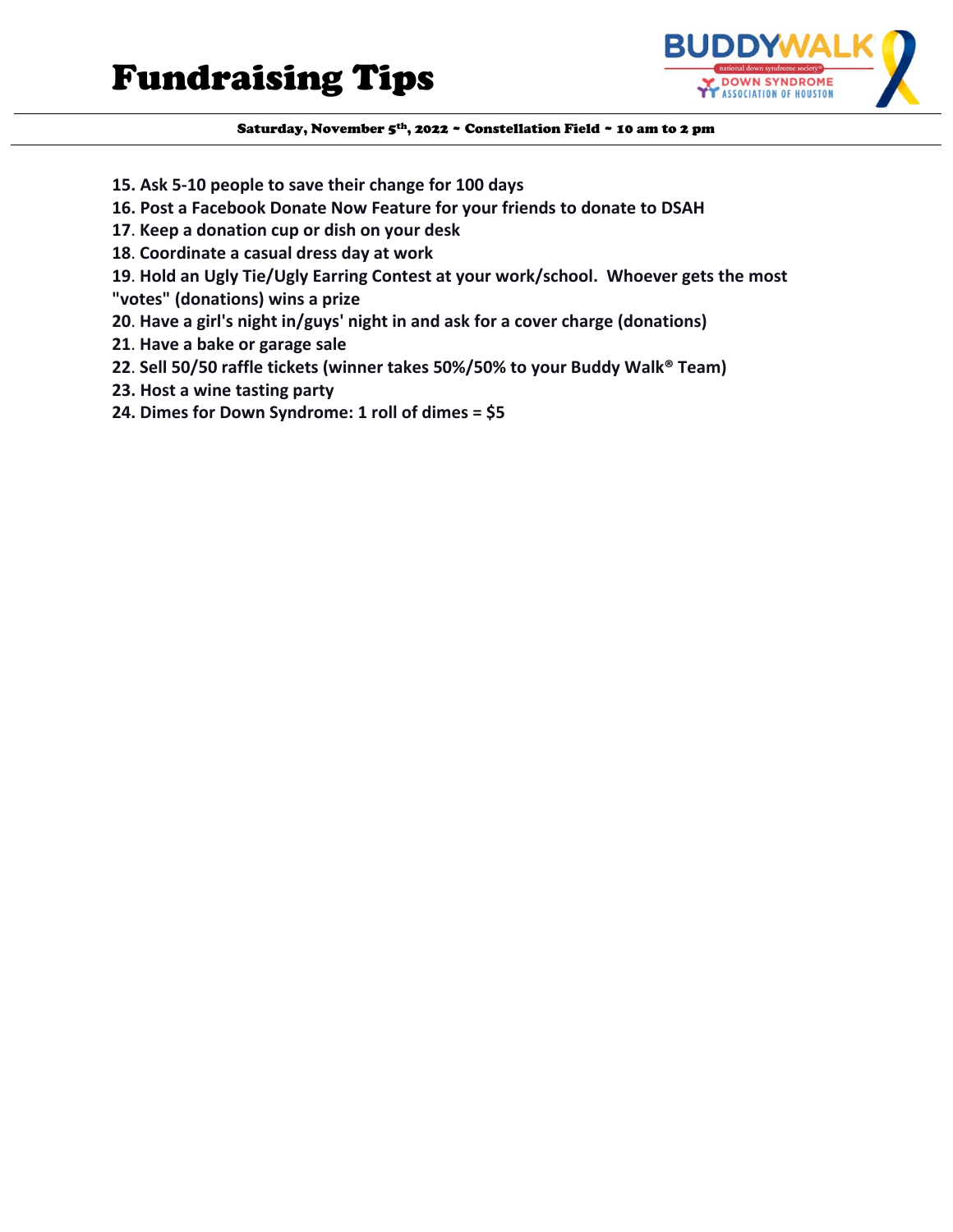

- **15. Ask 5-10 people to save their change for 100 days**
- **16. Post a Facebook Donate Now Feature for your friends to donate to DSAH**
- **17**. **Keep a donation cup or dish on your desk**
- **18**. **Coordinate a casual dress day at work**
- **19**. **Hold an Ugly Tie/Ugly Earring Contest at your work/school. Whoever gets the most**
- **"votes" (donations) wins a prize**
- **20**. **Have a girl's night in/guys' night in and ask for a cover charge (donations)**
- **21**. **Have a bake or garage sale**
- **22**. **Sell 50/50 raffle tickets (winner takes 50%/50% to your Buddy Walk® Team)**
- **23. Host a wine tasting party**
- **24. Dimes for Down Syndrome: 1 roll of dimes = \$5**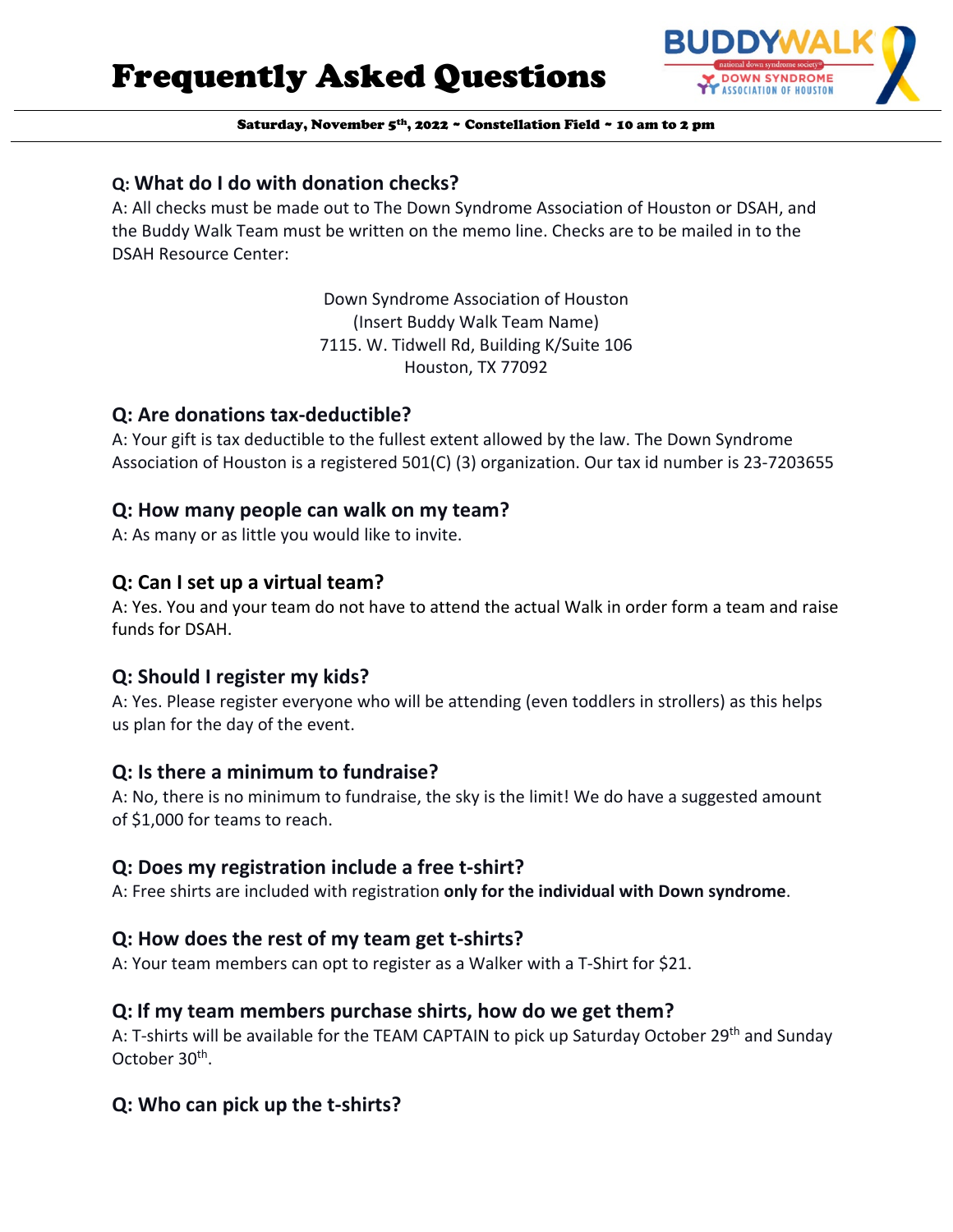Frequently Asked Questions



Saturday, November 5<sup>th</sup>, 2022 ~ Constellation Field ~ 10 am to 2 pm

# **Q: What do I do with donation checks?**

A: All checks must be made out to The Down Syndrome Association of Houston or DSAH, and the Buddy Walk Team must be written on the memo line. Checks are to be mailed in to the DSAH Resource Center:

> Down Syndrome Association of Houston (Insert Buddy Walk Team Name) 7115. W. Tidwell Rd, Building K/Suite 106 Houston, TX 77092

## **Q: Are donations tax-deductible?**

A: Your gift is tax deductible to the fullest extent allowed by the law. The Down Syndrome Association of Houston is a registered 501(C) (3) organization. Our tax id number is 23-7203655

## **Q: How many people can walk on my team?**

A: As many or as little you would like to invite.

# **Q: Can I set up a virtual team?**

A: Yes. You and your team do not have to attend the actual Walk in order form a team and raise funds for DSAH.

# **Q: Should I register my kids?**

A: Yes. Please register everyone who will be attending (even toddlers in strollers) as this helps us plan for the day of the event.

# **Q: Is there a minimum to fundraise?**

A: No, there is no minimum to fundraise, the sky is the limit! We do have a suggested amount of \$1,000 for teams to reach.

# **Q: Does my registration include a free t-shirt?**

A: Free shirts are included with registration **only for the individual with Down syndrome**.

# **Q: How does the rest of my team get t-shirts?**

A: Your team members can opt to register as a Walker with a T-Shirt for \$21.

# **Q: If my team members purchase shirts, how do we get them?**

A: T-shirts will be available for the TEAM CAPTAIN to pick up Saturday October 29<sup>th</sup> and Sunday October 30<sup>th</sup>.

# **Q: Who can pick up the t-shirts?**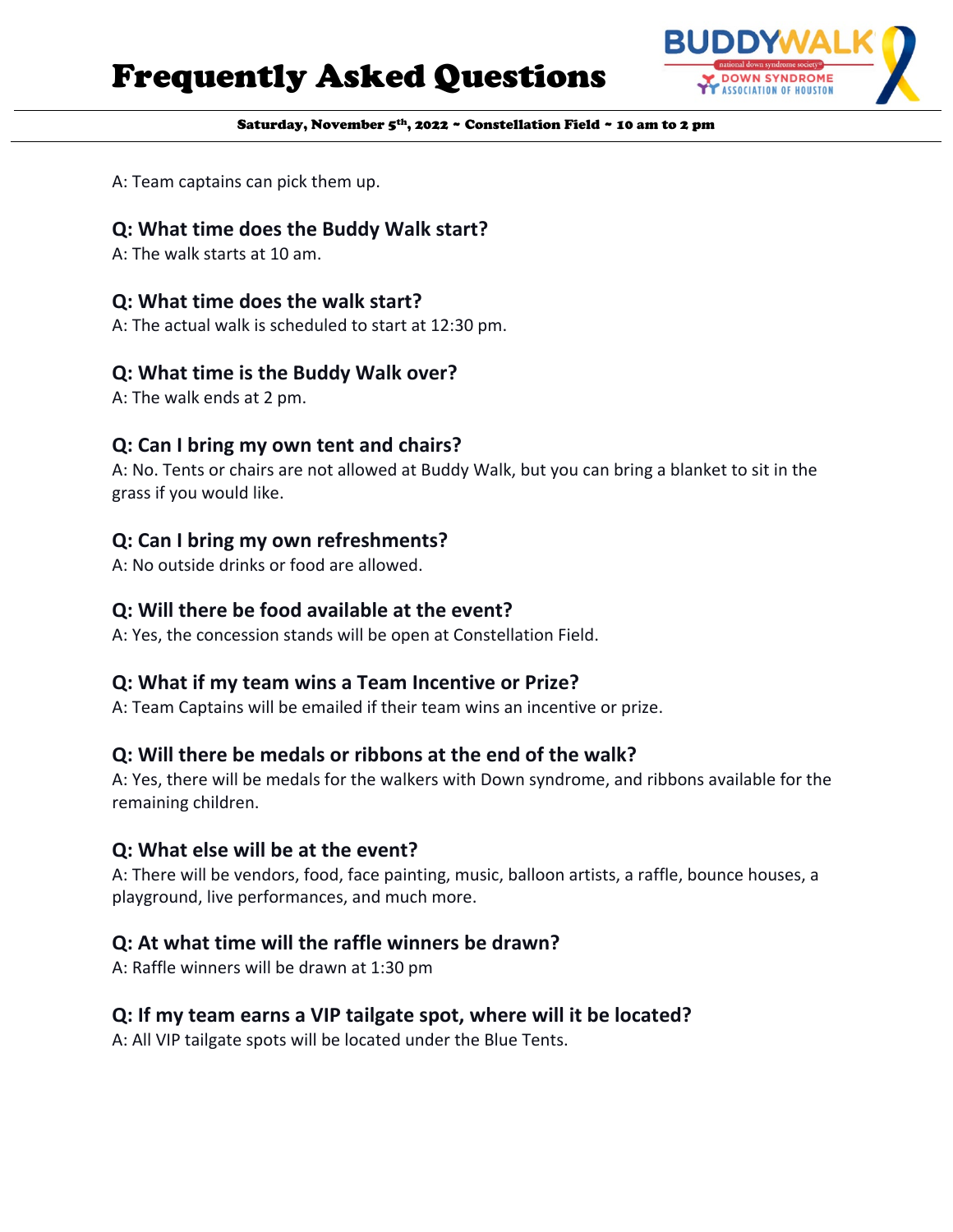# Frequently Asked Questions



Saturday, November 5<sup>th</sup>, 2022 ~ Constellation Field ~ 10 am to 2 pm

A: Team captains can pick them up.

# **Q: What time does the Buddy Walk start?**

A: The walk starts at 10 am.

# **Q: What time does the walk start?**

A: The actual walk is scheduled to start at 12:30 pm.

### **Q: What time is the Buddy Walk over?**

A: The walk ends at 2 pm.

## **Q: Can I bring my own tent and chairs?**

A: No. Tents or chairs are not allowed at Buddy Walk, but you can bring a blanket to sit in the grass if you would like.

## **Q: Can I bring my own refreshments?**

A: No outside drinks or food are allowed.

# **Q: Will there be food available at the event?**

A: Yes, the concession stands will be open at Constellation Field.

# **Q: What if my team wins a Team Incentive or Prize?**

A: Team Captains will be emailed if their team wins an incentive or prize.

# **Q: Will there be medals or ribbons at the end of the walk?**

A: Yes, there will be medals for the walkers with Down syndrome, and ribbons available for the remaining children.

### **Q: What else will be at the event?**

A: There will be vendors, food, face painting, music, balloon artists, a raffle, bounce houses, a playground, live performances, and much more.

# **Q: At what time will the raffle winners be drawn?**

A: Raffle winners will be drawn at 1:30 pm

### **Q: If my team earns a VIP tailgate spot, where will it be located?**

A: All VIP tailgate spots will be located under the Blue Tents.